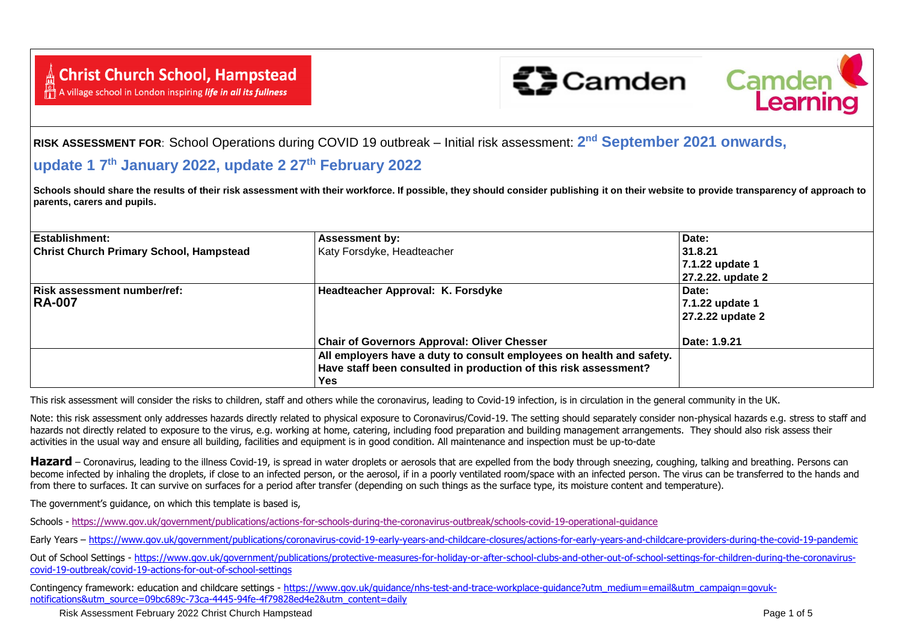A village school in London inspiring *life in all its fullness* 





**RISK ASSESSMENT FOR**: School Operations during COVID 19 outbreak – Initial risk assessment: **2 nd September 2021 onwards,** 

## **update 1 7 th January 2022, update 2 27th February 2022**

Schools should share the results of their risk assessment with their workforce. If possible, they should consider publishing it on their website to provide transparency of approach to **parents, carers and pupils.**

| Establishment:                                 | <b>Assessment by:</b>                                                | Date:             |
|------------------------------------------------|----------------------------------------------------------------------|-------------------|
| <b>Christ Church Primary School, Hampstead</b> | Katy Forsdyke, Headteacher                                           | 31.8.21           |
|                                                |                                                                      | 7.1.22 update 1   |
|                                                |                                                                      | 27.2.22. update 2 |
| <b>Risk assessment number/ref:</b>             | Headteacher Approval: K. Forsdyke                                    | Date:             |
| <b>RA-007</b>                                  |                                                                      | 7.1.22 update 1   |
|                                                |                                                                      | 27.2.22 update 2  |
|                                                | <b>Chair of Governors Approval: Oliver Chesser</b>                   | Date: 1.9.21      |
|                                                | All employers have a duty to consult employees on health and safety. |                   |
|                                                | Have staff been consulted in production of this risk assessment?     |                   |
|                                                | <b>Yes</b>                                                           |                   |

This risk assessment will consider the risks to children, staff and others while the coronavirus, leading to Covid-19 infection, is in circulation in the general community in the UK.

Note: this risk assessment only addresses hazards directly related to physical exposure to Coronavirus/Covid-19. The setting should separately consider non-physical hazards e.g. stress to staff and hazards not directly related to exposure to the virus, e.g. working at home, catering, including food preparation and building management arrangements. They should also risk assess their activities in the usual way and ensure all building, facilities and equipment is in good condition. All maintenance and inspection must be up-to-date

**Hazard** – Coronavirus, leading to the illness Covid-19, is spread in water droplets or aerosols that are expelled from the body through sneezing, coughing, talking and breathing. Persons can become infected by inhaling the droplets, if close to an infected person, or the aerosol, if in a poorly ventilated room/space with an infected person. The virus can be transferred to the hands and from there to surfaces. It can survive on surfaces for a period after transfer (depending on such things as the surface type, its moisture content and temperature).

The government's guidance, on which this template is based is,

Schools - <https://www.gov.uk/government/publications/actions-for-schools-during-the-coronavirus-outbreak/schools-covid-19-operational-guidance>

Early Years – <https://www.gov.uk/government/publications/coronavirus-covid-19-early-years-and-childcare-closures/actions-for-early-years-and-childcare-providers-during-the-covid-19-pandemic>

Out of School Settings - [https://www.gov.uk/government/publications/protective-measures-for-holiday-or-after-school-clubs-and-other-out-of-school-settings-for-children-during-the-coronavirus](https://www.gov.uk/government/publications/protective-measures-for-holiday-or-after-school-clubs-and-other-out-of-school-settings-for-children-during-the-coronavirus-covid-19-outbreak/covid-19-actions-for-out-of-school-settings)[covid-19-outbreak/covid-19-actions-for-out-of-school-settings](https://www.gov.uk/government/publications/protective-measures-for-holiday-or-after-school-clubs-and-other-out-of-school-settings-for-children-during-the-coronavirus-covid-19-outbreak/covid-19-actions-for-out-of-school-settings)

Contingency framework: education and childcare settings - https://www.gov.uk/quidance/nhs-test-and-trace-workplace-quidance?utm\_medium=email&utm\_campaign=govuk[notifications&utm\\_source=09bc689c-73ca-4445-94fe-4f79828ed4e2&utm\\_content=daily](https://www.gov.uk/guidance/nhs-test-and-trace-workplace-guidance?utm_medium=email&utm_campaign=govuk-notifications&utm_source=09bc689c-73ca-4445-94fe-4f79828ed4e2&utm_content=daily)

Risk Assessment February 2022 Christ Church Hampstead **Page 1 of 5** and 2008 Page 1 of 5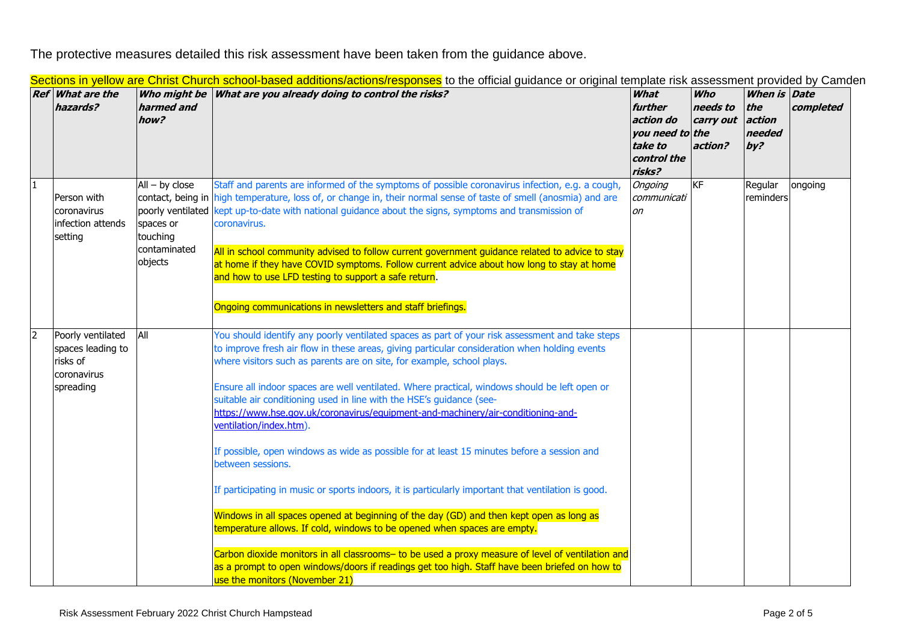The protective measures detailed this risk assessment have been taken from the guidance above.

|                | <b>Ref</b> What are the<br>hazards?                                            | Who might be<br>harmed and<br>how?                                   | <u>Jechons in yellow are Chinst Church School-Dased additions/actions/responses</u> to the omicial guidance or onginal template hsk assessment provided by Camu<br>What are you already doing to control the risks?                                                                                                                                                                                                                                                                                                                                                                                                                                                                                                                                                                                                                                                                                                                                                                                                                                                                                                                                                                                        | What<br>further<br>action do<br>you need to the<br>take to<br>control the<br>risks? | <b>Who</b><br>needs to<br>carry out<br>action? | <b>When is Date</b><br>the<br>action<br>needed<br>by? | completed |
|----------------|--------------------------------------------------------------------------------|----------------------------------------------------------------------|------------------------------------------------------------------------------------------------------------------------------------------------------------------------------------------------------------------------------------------------------------------------------------------------------------------------------------------------------------------------------------------------------------------------------------------------------------------------------------------------------------------------------------------------------------------------------------------------------------------------------------------------------------------------------------------------------------------------------------------------------------------------------------------------------------------------------------------------------------------------------------------------------------------------------------------------------------------------------------------------------------------------------------------------------------------------------------------------------------------------------------------------------------------------------------------------------------|-------------------------------------------------------------------------------------|------------------------------------------------|-------------------------------------------------------|-----------|
| $\mathbf{1}$   | Person with<br>coronavirus<br>infection attends<br>setting                     | $All - by close$<br>spaces or<br>touching<br>contaminated<br>objects | Staff and parents are informed of the symptoms of possible coronavirus infection, e.g. a cough,<br>contact, being in high temperature, loss of, or change in, their normal sense of taste of smell (anosmia) and are<br>poorly ventilated kept up-to-date with national guidance about the signs, symptoms and transmission of<br>coronavirus.<br>All in school community advised to follow current government guidance related to advice to stay<br>at home if they have COVID symptoms. Follow current advice about how long to stay at home<br>and how to use LFD testing to support a safe return.<br>Ongoing communications in newsletters and staff briefings.                                                                                                                                                                                                                                                                                                                                                                                                                                                                                                                                       | Ongoing<br>communicati<br>on                                                        | KF                                             | Regular<br>reminders                                  | ongoing   |
| $\overline{2}$ | Poorly ventilated<br>spaces leading to<br>risks of<br>coronavirus<br>spreading | All                                                                  | You should identify any poorly ventilated spaces as part of your risk assessment and take steps<br>to improve fresh air flow in these areas, giving particular consideration when holding events<br>where visitors such as parents are on site, for example, school plays.<br>Ensure all indoor spaces are well ventilated. Where practical, windows should be left open or<br>suitable air conditioning used in line with the HSE's guidance (see-<br>https://www.hse.gov.uk/coronavirus/equipment-and-machinery/air-conditioning-and-<br>ventilation/index.htm)<br>If possible, open windows as wide as possible for at least 15 minutes before a session and<br>between sessions.<br>If participating in music or sports indoors, it is particularly important that ventilation is good.<br>Windows in all spaces opened at beginning of the day (GD) and then kept open as long as<br>temperature allows. If cold, windows to be opened when spaces are empty.<br>Carbon dioxide monitors in all classrooms- to be used a proxy measure of level of ventilation and<br>as a prompt to open windows/doors if readings get too high. Staff have been briefed on how to<br>use the monitors (November 21) |                                                                                     |                                                |                                                       |           |

Sections in vellow are Christ Church school-based additions/actions/responses to the official quidance or original template risk assessment provided by Camden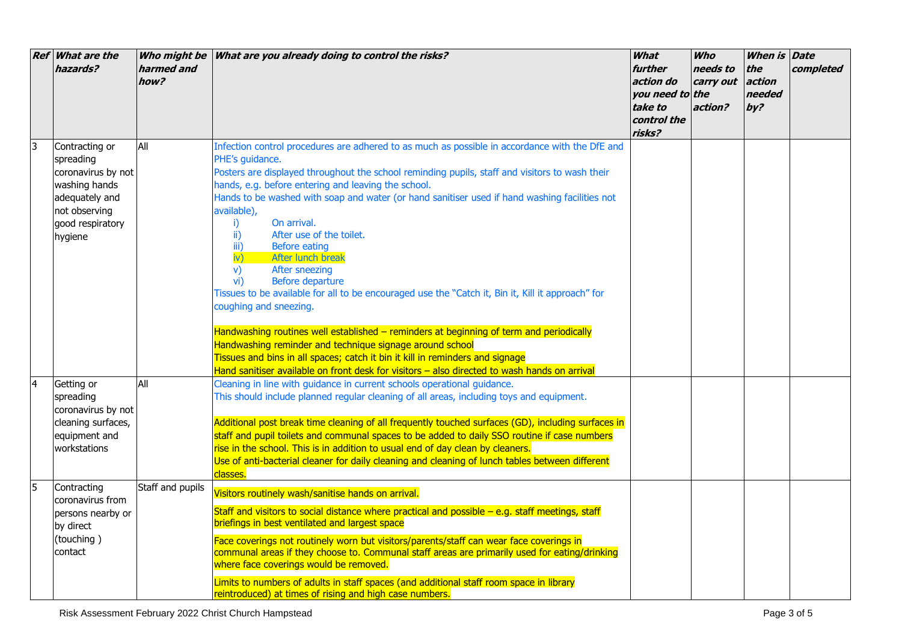|              | <b>Ref</b> What are the<br>hazards?                                                                                                  | harmed and<br>how? | Who might be What are you already doing to control the risks?                                                                                                                                                                                                                                                                                                                                                                                                                                                                                                                                                                                                                                                                                                                                                                                                                                                                                                                                                                               | What<br>further<br>action do<br>you need to the<br>take to<br>control the<br>risks? | <b>Who</b><br>needs to<br>carry out<br>action? | When is Date<br>the<br>action<br>needed<br>by? | completed |
|--------------|--------------------------------------------------------------------------------------------------------------------------------------|--------------------|---------------------------------------------------------------------------------------------------------------------------------------------------------------------------------------------------------------------------------------------------------------------------------------------------------------------------------------------------------------------------------------------------------------------------------------------------------------------------------------------------------------------------------------------------------------------------------------------------------------------------------------------------------------------------------------------------------------------------------------------------------------------------------------------------------------------------------------------------------------------------------------------------------------------------------------------------------------------------------------------------------------------------------------------|-------------------------------------------------------------------------------------|------------------------------------------------|------------------------------------------------|-----------|
|              | Contracting or<br>spreading<br>coronavirus by not<br>washing hands<br>adequately and<br>not observing<br>good respiratory<br>hygiene | All                | Infection control procedures are adhered to as much as possible in accordance with the DfE and<br>PHE's quidance.<br>Posters are displayed throughout the school reminding pupils, staff and visitors to wash their<br>hands, e.g. before entering and leaving the school.<br>Hands to be washed with soap and water (or hand sanitiser used if hand washing facilities not<br>available),<br>On arrival.<br>i)<br>After use of the toilet.<br>ii)<br>iii)<br>Before eating<br>After lunch break<br>$\mathsf{iv}$<br>After sneezing<br>V)<br>vi)<br>Before departure<br>Tissues to be available for all to be encouraged use the "Catch it, Bin it, Kill it approach" for<br>coughing and sneezing.<br>Handwashing routines well established - reminders at beginning of term and periodically<br>Handwashing reminder and technique signage around school<br>Tissues and bins in all spaces; catch it bin it kill in reminders and signage<br>Hand sanitiser available on front desk for visitors - also directed to wash hands on arrival |                                                                                     |                                                |                                                |           |
| <sup>4</sup> | Getting or<br>spreading<br>coronavirus by not<br>cleaning surfaces,<br>equipment and<br>workstations                                 | All                | Cleaning in line with guidance in current schools operational guidance.<br>This should include planned regular cleaning of all areas, including toys and equipment.<br>Additional post break time cleaning of all frequently touched surfaces (GD), including surfaces in<br>staff and pupil toilets and communal spaces to be added to daily SSO routine if case numbers<br>rise in the school. This is in addition to usual end of day clean by cleaners.<br>Use of anti-bacterial cleaner for daily cleaning and cleaning of lunch tables between different<br>classes.                                                                                                                                                                                                                                                                                                                                                                                                                                                                  |                                                                                     |                                                |                                                |           |
| 5            | Contracting<br>coronavirus from<br>persons nearby or<br>by direct<br>(touching)<br>contact                                           | Staff and pupils   | Visitors routinely wash/sanitise hands on arrival.<br>Staff and visitors to social distance where practical and possible $-$ e.g. staff meetings, staff<br>briefings in best ventilated and largest space<br>Face coverings not routinely worn but visitors/parents/staff can wear face coverings in<br>communal areas if they choose to. Communal staff areas are primarily used for eating/drinking<br>where face coverings would be removed.<br>Limits to numbers of adults in staff spaces (and additional staff room space in library<br>reintroduced) at times of rising and high case numbers.                                                                                                                                                                                                                                                                                                                                                                                                                                       |                                                                                     |                                                |                                                |           |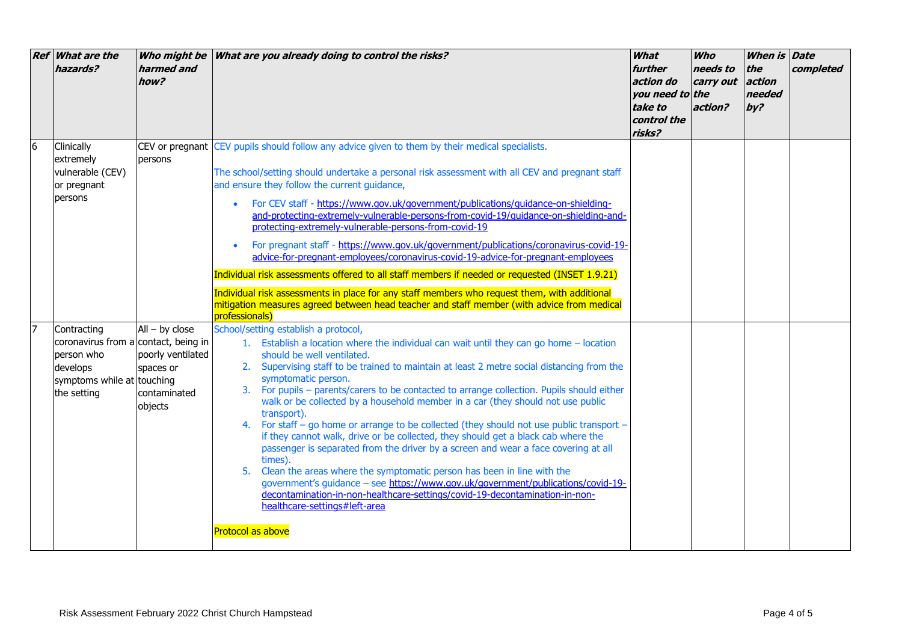|    | <b>Ref</b> What are the<br>hazards?                                                                                        | Who might be<br>harmed and<br>how?                                            | What are you already doing to control the risks?                                                                                                                                                                                                                                                                                                                                                                                                                                                                                                                                                                                                                                                                                                                                                                                                                                                                                                                                                                                                                                      | What<br>further<br>action do<br>you need to the<br>take to<br>control the<br>risks? | <b>Who</b><br>needs to<br>carry out<br>action? | When is<br>the<br>action<br>needed<br>by? | <b>Date</b><br>completed |
|----|----------------------------------------------------------------------------------------------------------------------------|-------------------------------------------------------------------------------|---------------------------------------------------------------------------------------------------------------------------------------------------------------------------------------------------------------------------------------------------------------------------------------------------------------------------------------------------------------------------------------------------------------------------------------------------------------------------------------------------------------------------------------------------------------------------------------------------------------------------------------------------------------------------------------------------------------------------------------------------------------------------------------------------------------------------------------------------------------------------------------------------------------------------------------------------------------------------------------------------------------------------------------------------------------------------------------|-------------------------------------------------------------------------------------|------------------------------------------------|-------------------------------------------|--------------------------|
| 6  | Clinically<br>extremely<br>vulnerable (CEV)<br>or pregnant<br>persons                                                      | persons                                                                       | CEV or pregnant CEV pupils should follow any advice given to them by their medical specialists.<br>The school/setting should undertake a personal risk assessment with all CEV and pregnant staff<br>and ensure they follow the current quidance,<br>For CEV staff - https://www.gov.uk/government/publications/guidance-on-shielding-<br>and-protecting-extremely-vulnerable-persons-from-covid-19/quidance-on-shielding-and-<br>protecting-extremely-vulnerable-persons-from-covid-19<br>For pregnant staff - https://www.gov.uk/government/publications/coronavirus-covid-19-<br>advice-for-pregnant-employees/coronavirus-covid-19-advice-for-pregnant-employees<br>Individual risk assessments offered to all staff members if needed or requested (INSET 1.9.21)<br>Individual risk assessments in place for any staff members who request them, with additional<br>mitigation measures agreed between head teacher and staff member (with advice from medical<br>professionals)                                                                                                |                                                                                     |                                                |                                           |                          |
| 17 | Contracting<br>coronavirus from a contact, being in<br>person who<br>develops<br>symptoms while at touching<br>the setting | $All - by close$<br>poorly ventilated<br>spaces or<br>contaminated<br>objects | School/setting establish a protocol,<br>1. Establish a location where the individual can wait until they can go home - location<br>should be well ventilated.<br>2. Supervising staff to be trained to maintain at least 2 metre social distancing from the<br>symptomatic person.<br>3. For pupils - parents/carers to be contacted to arrange collection. Pupils should either<br>walk or be collected by a household member in a car (they should not use public<br>transport).<br>4. For staff - go home or arrange to be collected (they should not use public transport -<br>if they cannot walk, drive or be collected, they should get a black cab where the<br>passenger is separated from the driver by a screen and wear a face covering at all<br>times).<br>Clean the areas where the symptomatic person has been in line with the<br>5.<br>government's guidance - see https://www.gov.uk/government/publications/covid-19-<br>decontamination-in-non-healthcare-settings/covid-19-decontamination-in-non-<br>healthcare-settings#left-area<br><b>Protocol as above</b> |                                                                                     |                                                |                                           |                          |